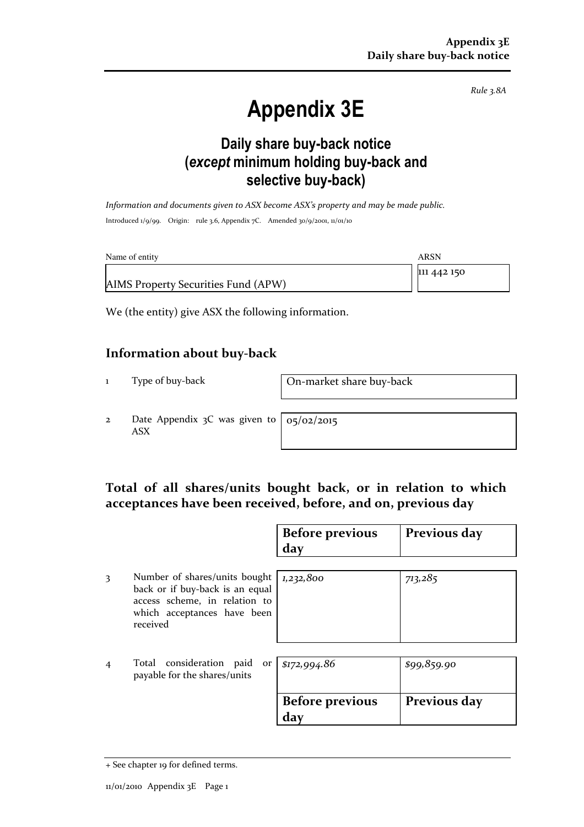Rule 3.8A

# Appendix 3E

### Daily share buy-back notice (except minimum holding buy-back and selective buy-back)

Information and documents given to ASX become ASX's property and may be made public. Introduced 1/9/99. Origin: rule 3.6, Appendix 7C. Amended 30/9/2001, 11/01/10

| Name of entity                      | ARSN        |
|-------------------------------------|-------------|
|                                     | 111 442 150 |
| AIMS Property Securities Fund (APW) |             |

We (the entity) give ASX the following information.

#### Information about buy-back

1 Type of buy-back On-market share buy-back

2 Date Appendix 3C was given to ASX

05/02/2015

#### Total of all shares/units bought back, or in relation to which acceptances have been received, before, and on, previous day

|                |                                                                                                                                              | <b>Before previous</b><br>day | Previous day |
|----------------|----------------------------------------------------------------------------------------------------------------------------------------------|-------------------------------|--------------|
| 3              | Number of shares/units bought<br>back or if buy-back is an equal<br>access scheme, in relation to<br>which acceptances have been<br>received | 1,232,800                     | 713,285      |
| $\overline{4}$ | Total consideration paid<br>payable for the shares/units                                                                                     | or $\sqrt{$172,994.86}$       | \$99,859.90  |
|                |                                                                                                                                              | <b>Before previous</b><br>day | Previous day |

<sup>+</sup> See chapter 19 for defined terms.